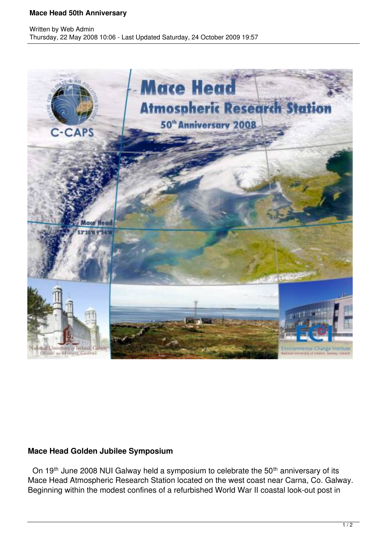## **Mace Head 50th Anniversary**



## **Mace Head Golden Jubilee Symposium**

On 19<sup>th</sup> June 2008 NUI Galway held a symposium to celebrate the 50<sup>th</sup> anniversary of its Mace Head Atmospheric Research Station located on the west coast near Carna, Co. Galway. Beginning within the modest confines of a refurbished World War II coastal look-out post in